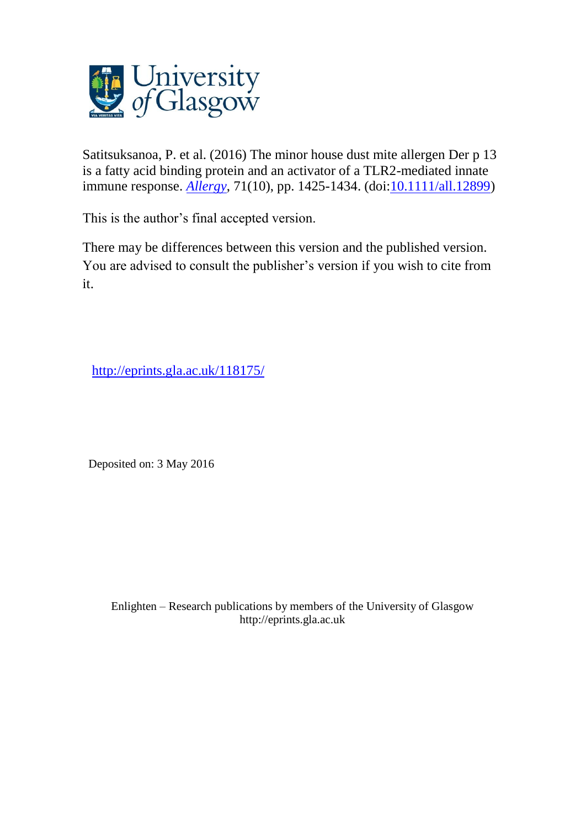

Satitsuksanoa, P. et al. (2016) The minor house dust mite allergen Der p 13 is a fatty acid binding protein and an activator of a TLR2-mediated innate immune response. **[Allergy](http://eprints.gla.ac.uk/view/journal_volume/Allergy.html)**, 71(10), pp. 1425-1434. (doi: **10.1111/all.12899**)

This is the author's final accepted version.

There may be differences between this version and the published version. You are advised to consult the publisher's version if you wish to cite from it.

<http://eprints.gla.ac.uk/118175/>

Deposited on: 3 May 2016

Enlighten – Research publications by members of the University of Glasgo[w](http://eprints.gla.ac.uk/) [http://eprints.gla.ac.uk](http://eprints.gla.ac.uk/)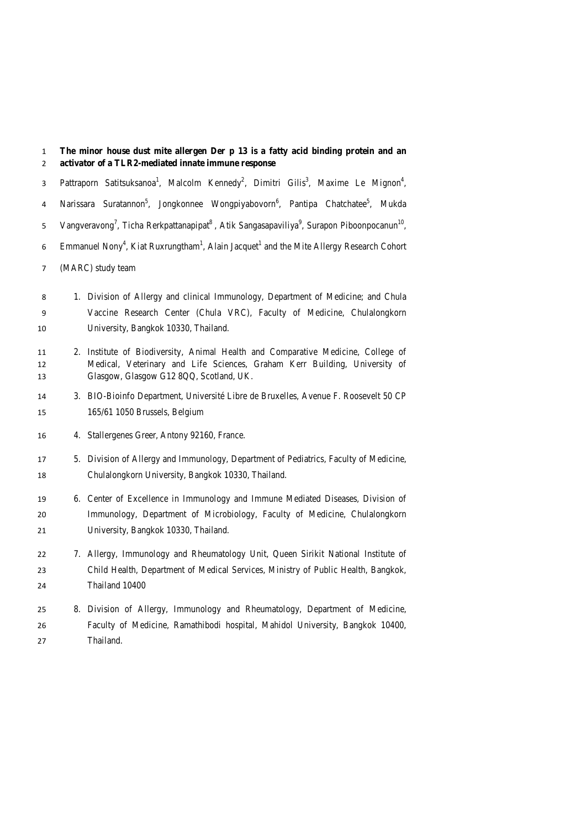**The minor house dust mite allergen Der p 13 is a fatty acid binding protein and an activator of a TLR2-mediated innate immune response** 3 Pattraporn Satitsuksanoa<sup>1</sup>, Malcolm Kennedy<sup>2</sup>, Dimitri Gilis<sup>3</sup>, Maxime Le Mignon<sup>4</sup>, 4 Narissara Suratannon<sup>5</sup>, Jongkonnee Wongpiyabovorn<sup>6</sup>, Pantipa Chatchatee<sup>5</sup>, Mukda 5 Vangveravong<sup>7</sup>, Ticha Rerkpattanapipat<sup>8</sup>, Atik Sangasapaviliya<sup>9</sup>, Surapon Piboonpocanun<sup>10</sup>, 6 Emmanuel Nony<sup>4</sup>, Kiat Ruxrungtham<sup>1</sup>, Alain Jacquet<sup>1</sup> and the Mite Allergy Research Cohort (MARC) study team 1. Division of Allergy and clinical Immunology, Department of Medicine; and Chula Vaccine Research Center (Chula VRC), Faculty of Medicine, Chulalongkorn University, Bangkok 10330, Thailand. 2. Institute of Biodiversity, Animal Health and Comparative Medicine, College of Medical, Veterinary and Life Sciences, Graham Kerr Building, University of Glasgow, Glasgow G12 8QQ, Scotland, UK. 3. BIO-Bioinfo Department, Université Libre de Bruxelles, Avenue F. Roosevelt 50 CP 165/61 1050 Brussels, Belgium 4. Stallergenes Greer, Antony 92160, France. 5. Division of Allergy and Immunology, Department of Pediatrics, Faculty of Medicine, Chulalongkorn University, Bangkok 10330, Thailand. 6. Center of Excellence in Immunology and Immune Mediated Diseases, Division of Immunology, Department of Microbiology, Faculty of Medicine, Chulalongkorn University, Bangkok 10330, Thailand. 7. Allergy, Immunology and Rheumatology Unit, Queen Sirikit National Institute of Child Health, Department of Medical Services, Ministry of Public Health, Bangkok, Thailand 10400

 8. Division of Allergy, Immunology and Rheumatology, Department of Medicine, Faculty of Medicine, Ramathibodi hospital, Mahidol University, Bangkok 10400, Thailand.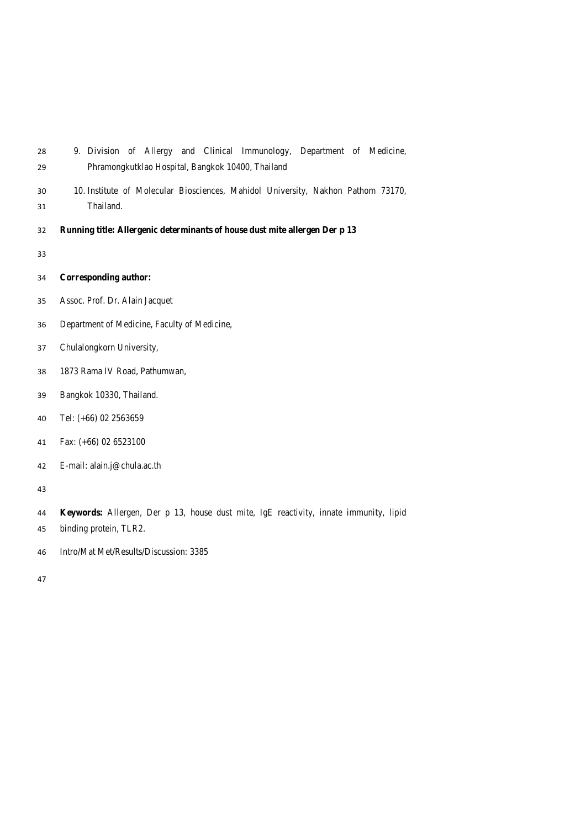| 28 |  |  |  | 9. Division of Allergy and Clinical Immunology, Department of Medicine, |  |  |
|----|--|--|--|-------------------------------------------------------------------------|--|--|
| 29 |  |  |  | Phramongkutklao Hospital, Bangkok 10400, Thailand                       |  |  |

- 10. Institute of Molecular Biosciences, Mahidol University, Nakhon Pathom 73170, Thailand.
- **Running title: Allergenic determinants of house dust mite allergen Der p 13**
- 

**Corresponding author:**

- Assoc. Prof. Dr. Alain Jacquet
- Department of Medicine, Faculty of Medicine,
- Chulalongkorn University,
- 1873 Rama IV Road, Pathumwan,
- Bangkok 10330, Thailand.
- Tel: (+66) 02 2563659
- Fax: (+66) 02 6523100
- E-mail: alain.j@chula.ac.th

- **Keywords:** Allergen, Der p 13, house dust mite, IgE reactivity, innate immunity, lipid
- binding protein, TLR2.
- Intro/Mat Met/Results/Discussion: 3385
-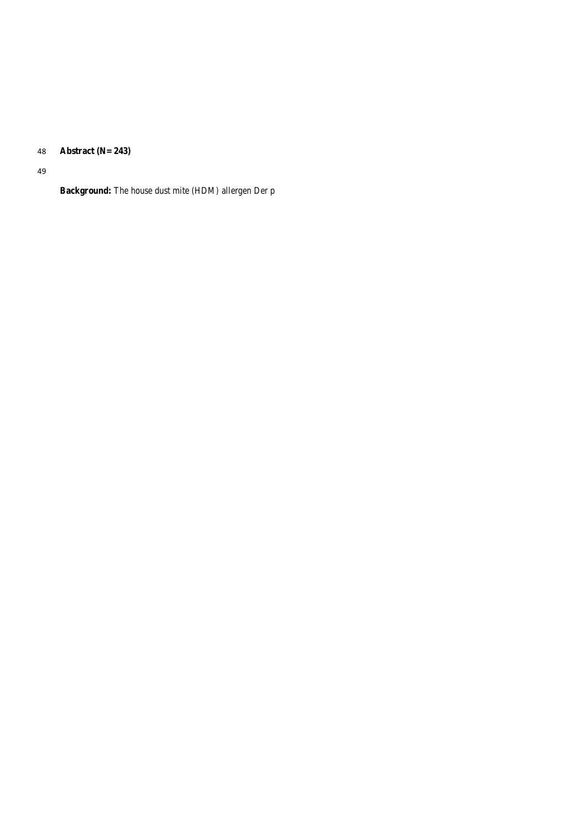**Abstract (N= 243)**

**Background:** The house dust mite (HDM*)* allergen Der p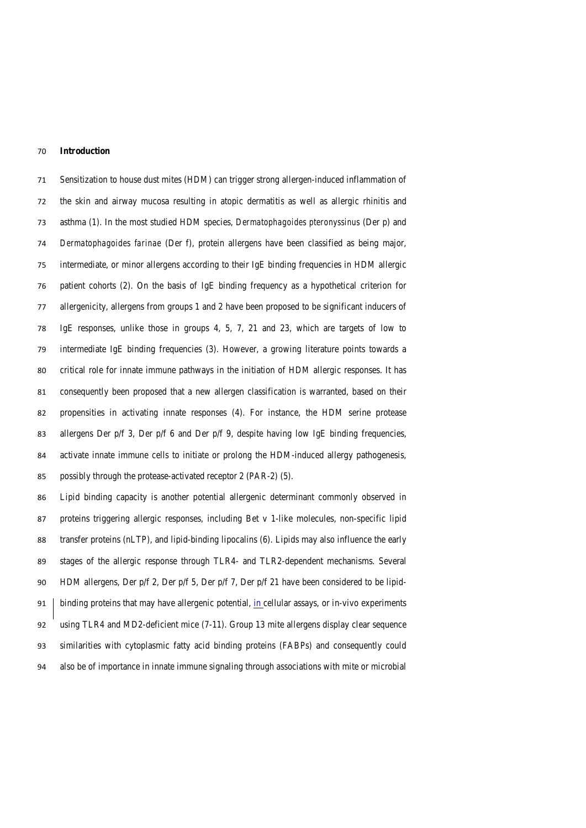#### **Introduction**

 Sensitization to house dust mites (HDM) can trigger strong allergen-induced inflammation of the skin and airway mucosa resulting in atopic dermatitis as well as allergic rhinitis and asthma (1). In the most studied HDM species, *Dermatophagoides pteronyssinus* (Der p) and *Dermatophagoides farinae* (Der f), protein allergens have been classified as being major, intermediate, or minor allergens according to their IgE binding frequencies in HDM allergic patient cohorts (2). On the basis of IgE binding frequency as a hypothetical criterion for allergenicity, allergens from groups 1 and 2 have been proposed to be significant inducers of IgE responses, unlike those in groups 4, 5, 7, 21 and 23, which are targets of low to intermediate IgE binding frequencies (3). However, a growing literature points towards a critical role for innate immune pathways in the initiation of HDM allergic responses. It has consequently been proposed that a new allergen classification is warranted, based on their propensities in activating innate responses (4). For instance, the HDM serine protease 83 allergens Der p/f 3, Der p/f 6 and Der p/f 9, despite having low IgE binding frequencies, activate innate immune cells to initiate or prolong the HDM-induced allergy pathogenesis, possibly through the protease-activated receptor 2 (PAR-2) (5).

 Lipid binding capacity is another potential allergenic determinant commonly observed in proteins triggering allergic responses, including Bet v 1-like molecules, non-specific lipid transfer proteins (nLTP), and lipid-binding lipocalins (6). Lipids may also influence the early stages of the allergic response through TLR4- and TLR2-dependent mechanisms. Several HDM allergens, Der p/f 2, Der p/f 5, Der p/f 7, Der p/f 21 have been considered to be lipid-91 binding proteins that may have allergenic potential, in cellular assays, or in-vivo experiments using TLR4 and MD2-deficient mice (7-11). Group 13 mite allergens display clear sequence similarities with cytoplasmic fatty acid binding proteins (FABPs) and consequently could also be of importance in innate immune signaling through associations with mite or microbial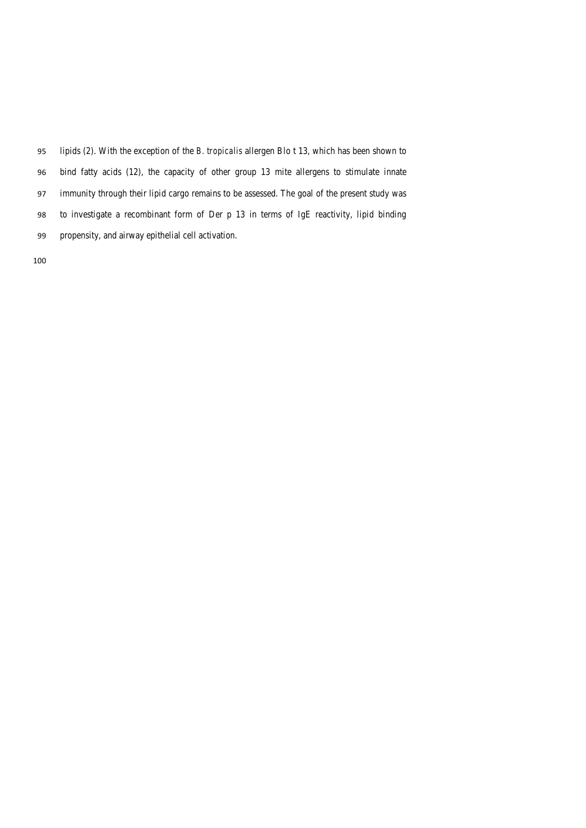lipids (2). With the exception of the *B. tropicalis* allergen Blo t 13, which has been shown to bind fatty acids (12), the capacity of other group 13 mite allergens to stimulate innate immunity through their lipid cargo remains to be assessed. The goal of the present study was to investigate a recombinant form of Der p 13 in terms of IgE reactivity, lipid binding propensity, and airway epithelial cell activation.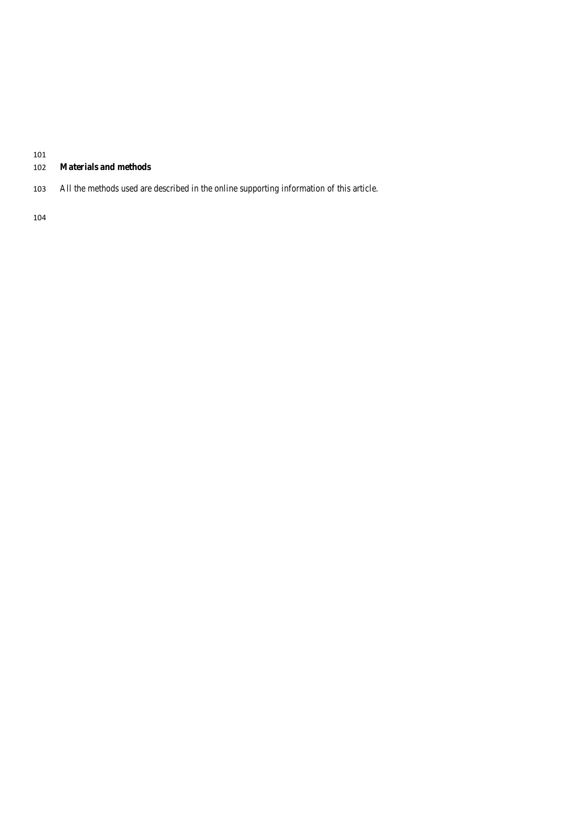# **Materials and methods**

All the methods used are described in the online supporting information of this article.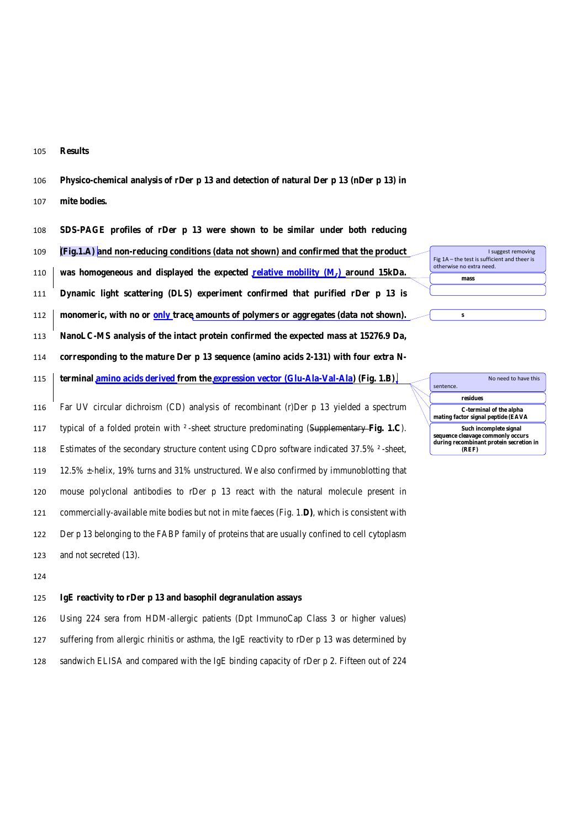**Results**

**Physico-chemical analysis of rDer p 13 and detection of natural Der p 13 (nDer p 13) in** 

**mite bodies.**

**SDS-PAGE profiles of rDer p 13 were shown to be similar under both reducing** 

**(Fig.1.A) and non-reducing conditions (data not shown) and confirmed that the product** 

**was homogeneous and displayed the expected relative mobility (Mr) around 15kDa.** 

**Dynamic light scattering (DLS) experiment confirmed that purified rDer p 13 is** 

**monomeric, with no or only trace amounts of polymers or aggregates (data not shown).** 

**NanoLC-MS analysis of the intact protein confirmed the expected mass at 15276.9 Da,** 

**corresponding to the mature Der p 13 sequence (amino acids 2-131) with four extra N-**

**terminal amino acids derived from the expression vector (Glu-Ala-Val-Ala) (Fig. 1.B)**

 Far UV circular dichroism (CD) analysis of recombinant (r)Der p 13 yielded a spectrum typical of a folded protein with ² -sheet structure predominating (Supplementary **Fig. 1.C**). Estimates of the secondary structure content using CDpro software indicated 37.5% ² -sheet, 12.5% ±-helix, 19% turns and 31% unstructured. We also confirmed by immunoblotting that mouse polyclonal antibodies to rDer p 13 react with the natural molecule present in commercially-available mite bodies but not in mite faeces (Fig. 1.**D)**, which is consistent with Der p 13 belonging to the FABP family of proteins that are usually confined to cell cytoplasm and not secreted (13).

# **IgE reactivity to rDer p 13 and basophil degranulation assays**

 Using 224 sera from HDM-allergic patients (Dpt ImmunoCap Class 3 or higher values) suffering from allergic rhinitis or asthma, the IgE reactivity to rDer p 13 was determined by sandwich ELISA and compared with the IgE binding capacity of rDer p 2. Fifteen out of 224

**residues C-terminal of the alpha mating factor signal peptide (EAVA Such incomplete signal sequence cleavage commonly occurs**  No need to have this sentence.

I suggest removing

 $Fig 1A - the test is sufficient and the per$ otherwise no extra need. **mass** 

**s**

**during recombinant protein secretion in (REF)**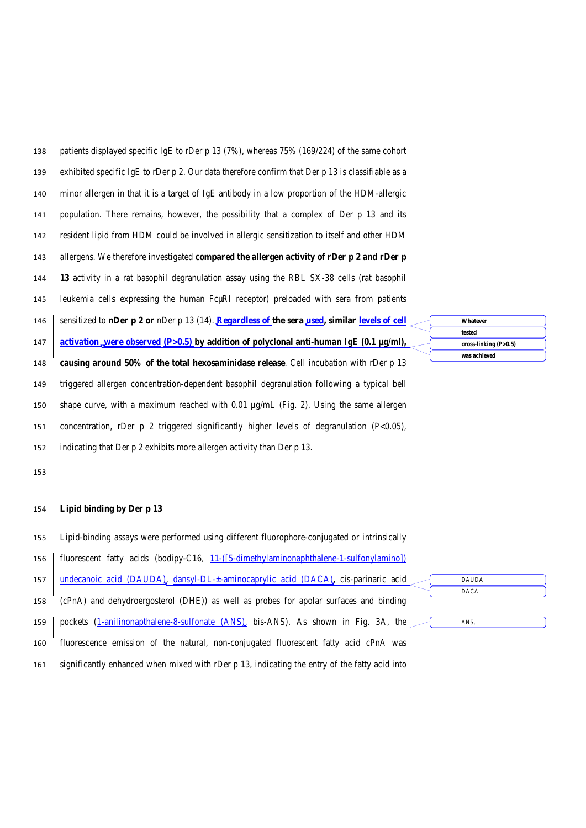| 138 | patients displayed specific IgE to rDer p 13 (7%), whereas 75% (169/224) of the same cohort            |                                   |
|-----|--------------------------------------------------------------------------------------------------------|-----------------------------------|
| 139 | exhibited specific IgE to rDer p 2. Our data therefore confirm that Der p 13 is classifiable as a      |                                   |
| 140 | minor allergen in that it is a target of IgE antibody in a low proportion of the HDM-allergic          |                                   |
| 141 | population. There remains, however, the possibility that a complex of Der p 13 and its                 |                                   |
| 142 | resident lipid from HDM could be involved in allergic sensitization to itself and other HDM            |                                   |
| 143 | allergens. We therefore investigated compared the allergen activity of rDer p 2 and rDer p             |                                   |
| 144 | 13 activity in a rat basophil degranulation assay using the RBL SX-38 cells (rat basophil              |                                   |
| 145 | leukemia cells expressing the human Fc $\mu$ RI receptor) preloaded with sera from patients            |                                   |
| 146 | sensitized to nDer p 2 or nDer p 13 (14). Regardless of the sera used, similar levels of cell          | Whatever                          |
| 147 | <u>activation, were observed (P&gt;0.5)</u> by addition of polyclonal anti-human IgE (0.1 $\mu$ g/ml), | tested<br>cross-linking $(P>0.5)$ |
| 148 | causing around 50% of the total hexosaminidase release. Cell incubation with rDer p 13                 | was achieved                      |
| 149 | triggered allergen concentration-dependent basophil degranulation following a typical bell             |                                   |
| 150 | shape curve, with a maximum reached with 0.01 $\mu g/mL$ (Fig. 2). Using the same allergen             |                                   |
| 151 | concentration, rDer $p \ 2$ triggered significantly higher levels of degranulation (P<0.05),           |                                   |
| 152 | indicating that Der p 2 exhibits more allergen activity than Der p 13.                                 |                                   |

# **Lipid binding by Der p 13**

- Lipid-binding assays were performed using different fluorophore-conjugated or intrinsically
- 156 fluorescent fatty acids (bodipy-C16, 11-([5-dimethylaminonaphthalene-1-sulfonylamino])
- undecanoic acid (DAUDA), dansyl-DL-±-aminocaprylic acid (DACA), *cis-*parinaric acid (cPnA) and dehydroergosterol (DHE)) as well as probes for apolar surfaces and binding 159 pockets (1-anilinonapthalene-8-sulfonate (ANS), bis-ANS). As shown in Fig. 3A, the DAUDA DACA ANS,
- fluorescence emission of the natural, non-conjugated fluorescent fatty acid cPnA was
- significantly enhanced when mixed with rDer p 13, indicating the entry of the fatty acid into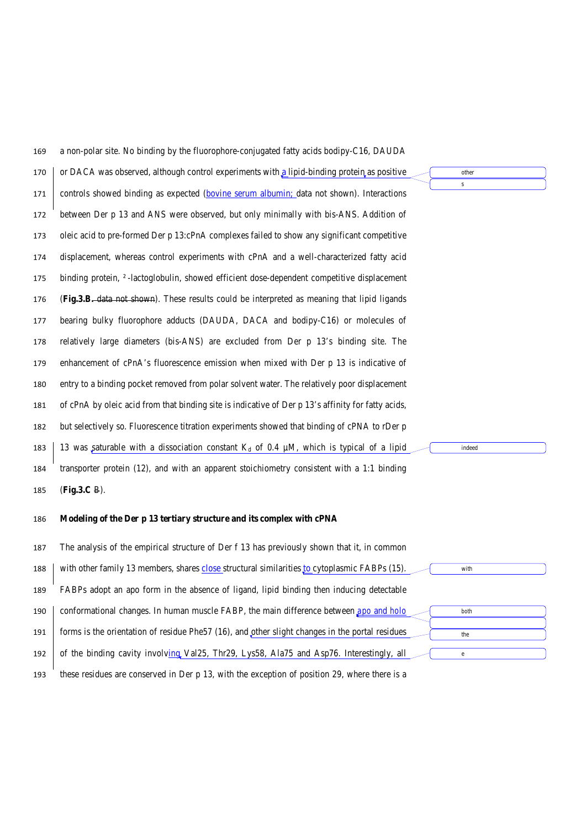| 169 | a non-polar site. No binding by the fluorophore-conjugated fatty acids bodipy-C16, DAUDA           |           |
|-----|----------------------------------------------------------------------------------------------------|-----------|
| 170 | or DACA was observed, although control experiments with a lipid-binding protein as positive        | other     |
| 171 | controls showed binding as expected (bovine serum albumin; data not shown). Interactions           | ${\bf S}$ |
| 172 | between Der p 13 and ANS were observed, but only minimally with bis-ANS. Addition of               |           |
| 173 | oleic acid to pre-formed Der p 13:cPnA complexes failed to show any significant competitive        |           |
| 174 | displacement, whereas control experiments with cPnA and a well-characterized fatty acid            |           |
| 175 | binding protein, 2-lactoglobulin, showed efficient dose-dependent competitive displacement         |           |
| 176 | (Fig. 3.B. data not shown). These results could be interpreted as meaning that lipid ligands       |           |
| 177 | bearing bulky fluorophore adducts (DAUDA, DACA and bodipy-C16) or molecules of                     |           |
| 178 | relatively large diameters (bis-ANS) are excluded from Der p 13's binding site. The                |           |
| 179 | enhancement of cPnA's fluorescence emission when mixed with Der p 13 is indicative of              |           |
| 180 | entry to a binding pocket removed from polar solvent water. The relatively poor displacement       |           |
| 181 | of cPnA by oleic acid from that binding site is indicative of Der p 13's affinity for fatty acids, |           |
| 182 | but selectively so. Fluorescence titration experiments showed that binding of cPNA to rDer p       |           |
| 183 | 13 was saturable with a dissociation constant $K_d$ of 0.4 $\mu$ M, which is typical of a lipid    | indeed    |
| 184 | transporter protein $(12)$ , and with an apparent stoichiometry consistent with a 1:1 binding      |           |
| 185 | (Fig.3.C B).                                                                                       |           |
| 186 | Modeling of the Der p 13 tertiary structure and its complex with cPNA                              |           |
| 187 | The analysis of the empirical structure of Der f 13 has previously shown that it, in common        |           |
| 188 | with other family 13 members, shares close structural similarities to cytoplasmic FABPs $(15)$ .   | with      |
| 189 | FABPs adopt an apo form in the absence of ligand, lipid binding then inducing detectable           |           |
| 190 | conformational changes. In human muscle FABP, the main difference between $\mu$ and holo           | both      |
| 191 | forms is the orientation of residue Phe57 (16), and other slight changes in the portal residues    | the       |
| 192 | of the binding cavity involving Val25, Thr29, Lys58, Ala75 and Asp76. Interestingly, all           | $\rm e$   |
| 193 | these residues are conserved in Der p 13, with the exception of position 29, where there is a      |           |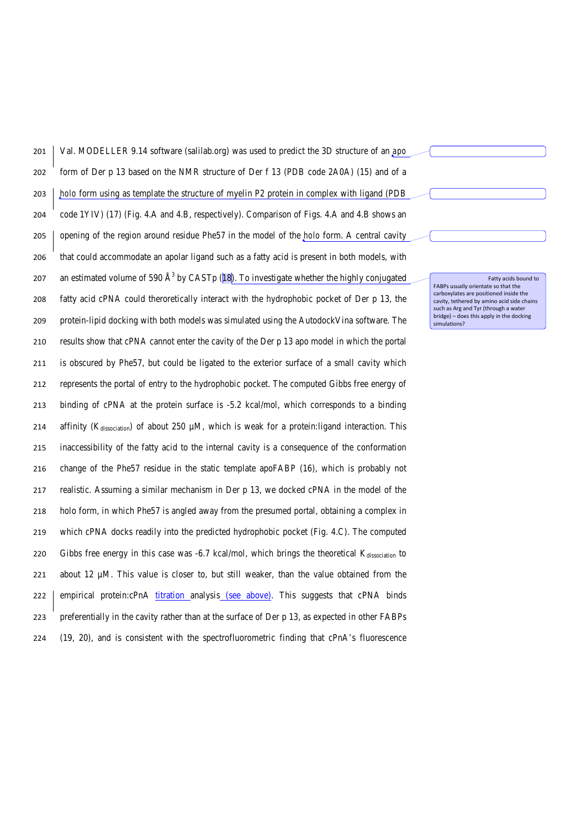| 201 | Val. MODELLER 9.14 software (salilab.org) was used to predict the 3D structure of an <i>apo</i>             |
|-----|-------------------------------------------------------------------------------------------------------------|
| 202 | form of Der p 13 based on the NMR structure of Der f 13 (PDB code 2A0A) (15) and of a                       |
| 203 | holo form using as template the structure of myelin P2 protein in complex with ligand (PDB                  |
| 204 | code 1YIV) (17) (Fig. 4.A and 4.B, respectively). Comparison of Figs. 4.A and 4.B shows an                  |
| 205 | opening of the region around residue Phe57 in the model of the <i>holo</i> form. A central cavity           |
| 206 | that could accommodate an apolar ligand such as a fatty acid is present in both models, with                |
| 207 | an estimated volume of 590 $\AA$ <sup>3</sup> by CASTp (18). To investigate whether the highly conjugated   |
| 208 | fatty acid cPNA could theroretically interact with the hydrophobic pocket of Der p 13, the                  |
| 209 | protein-lipid docking with both models was simulated using the AutodockVina software. The                   |
| 210 | results show that cPNA cannot enter the cavity of the Der p 13 apo model in which the portal                |
| 211 | is obscured by Phe57, but could be ligated to the exterior surface of a small cavity which                  |
| 212 | represents the portal of entry to the hydrophobic pocket. The computed Gibbs free energy of                 |
| 213 | binding of cPNA at the protein surface is -5.2 kcal/mol, which corresponds to a binding                     |
| 214 | affinity (K <sub>dissociation</sub> ) of about 250 µM, which is weak for a protein:ligand interaction. This |
| 215 | inaccessibility of the fatty acid to the internal cavity is a consequence of the conformation               |
| 216 | change of the Phe57 residue in the static template apoFABP (16), which is probably not                      |
| 217 | realistic. Assuming a similar mechanism in Der p 13, we docked cPNA in the model of the                     |
| 218 | holo form, in which Phe57 is angled away from the presumed portal, obtaining a complex in                   |
| 219 | which cPNA docks readily into the predicted hydrophobic pocket (Fig. 4.C). The computed                     |
| 220 | Gibbs free energy in this case was $-6.7$ kcal/mol, which brings the theoretical $K_{dissociation}$ to      |
| 221 | about 12 $\mu$ M. This value is closer to, but still weaker, than the value obtained from the               |
| 222 | empirical protein:cPnA titration analysis (see above). This suggests that cPNA binds                        |
| 223 | preferentially in the cavity rather than at the surface of Der p 13, as expected in other FABPs             |
| 224 | (19, 20), and is consistent with the spectrofluorometric finding that cPnA's fluorescence                   |

Fatty acids bound to<br>FABPs usually orientate so that the<br>carboxylates are positioned inside the<br>cavity, tethered by amino acid side chains<br>such as Arg and Tyr (through a water<br>bridge) – does this apply in the docking<br>simul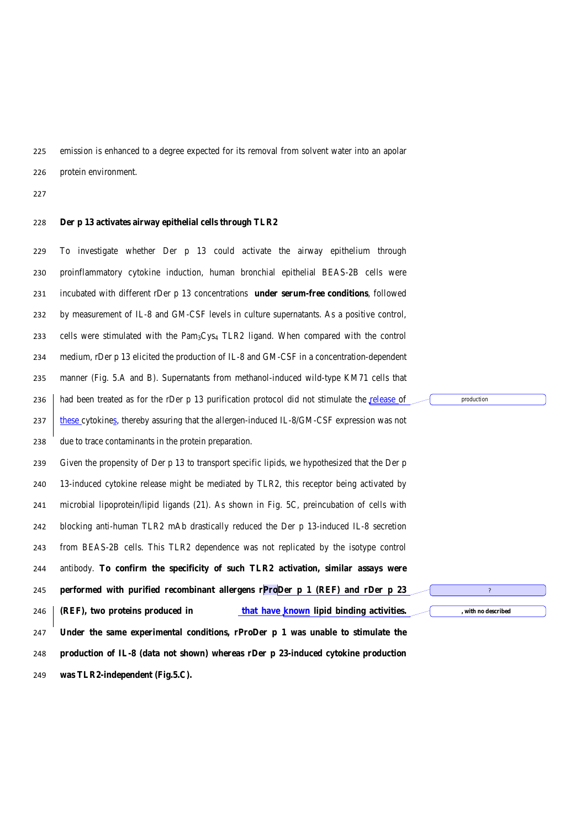emission is enhanced to a degree expected for its removal from solvent water into an apolar

protein environment.

#### **Der p 13 activates airway epithelial cells through TLR2**

 To investigate whether Der p 13 could activate the airway epithelium through proinflammatory cytokine induction, human bronchial epithelial BEAS-2B cells were incubated with different rDer p 13 concentrations **under serum-free conditions**, followed by measurement of IL-8 and GM-CSF levels in culture supernatants. As a positive control, 233 cells were stimulated with the Pam<sub>3</sub>Cys<sub>4</sub> TLR2 ligand. When compared with the control medium, rDer p 13 elicited the production of IL-8 and GM-CSF in a concentration-dependent manner (Fig. 5.A and B). Supernatants from methanol-induced wild-type KM71 cells that 236 had been treated as for the rDer p 13 purification protocol did not stimulate the release of 237 these cytokines, thereby assuring that the allergen-induced IL-8/GM-CSF expression was not due to trace contaminants in the protein preparation. Given the propensity of Der p 13 to transport specific lipids, we hypothesized that the Der p 13-induced cytokine release might be mediated by TLR2, this receptor being activated by microbial lipoprotein/lipid ligands (21). As shown in Fig. 5C, preincubation of cells with blocking anti-human TLR2 mAb drastically reduced the Der p 13-induced IL-8 secretion from BEAS-2B cells. This TLR2 dependence was not replicated by the isotype control antibody. **To confirm the specificity of such TLR2 activation, similar assays were performed with purified recombinant allergens rProDer p 1 (REF) and rDer p 23 (REF), two proteins produced in that have known lipid binding activities. Under the same experimental conditions, rProDer p 1 was unable to stimulate the production of IL-8 (data not shown) whereas rDer p 23-induced cytokine production was TLR2-independent (Fig.5.C).** production **, with no described**

?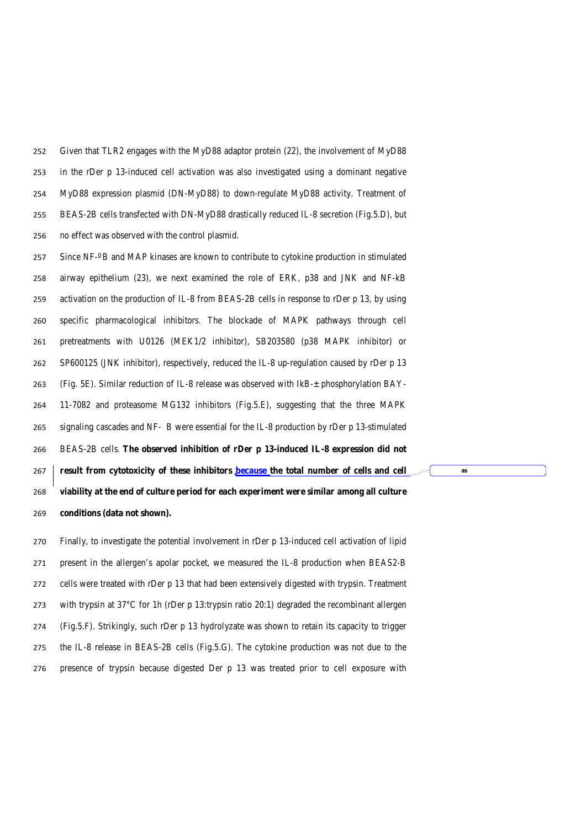Given that TLR2 engages with the MyD88 adaptor protein (22), the involvement of MyD88 in the rDer p 13-induced cell activation was also investigated using a dominant negative MyD88 expression plasmid (DN-MyD88) to down-regulate MyD88 activity. Treatment of BEAS-2B cells transfected with DN-MyD88 drastically reduced IL-8 secretion (Fig.5.D), but no effect was observed with the control plasmid.

 Since NF-º B and MAP kinases are known to contribute to cytokine production in stimulated airway epithelium (23), we next examined the role of ERK, p38 and JNK and NF-kB activation on the production of IL-8 from BEAS-2B cells in response to rDer p 13, by using specific pharmacological inhibitors. The blockade of MAPK pathways through cell pretreatments with U0126 (MEK1/2 inhibitor), SB203580 (p38 MAPK inhibitor) or SP600125 (JNK inhibitor), respectively, reduced the IL-8 up-regulation caused by rDer p 13 (Fig. 5E). Similar reduction of IL-8 release was observed with IkB-± phosphorylation BAY- 11-7082 and proteasome MG132 inhibitors (Fig.5.E), suggesting that the three MAPK signaling cascades and NF- B were essential for the IL-8 production by rDer p 13-stimulated BEAS-2B cells. **The observed inhibition of rDer p 13-induced IL-8 expression did not result from cytotoxicity of these inhibitors because the total number of cells and cell viability at the end of culture period for each experiment were similar among all culture conditions (data not shown).**

**as** 

 Finally, to investigate the potential involvement in rDer p 13-induced cell activation of lipid present in the allergen's apolar pocket, we measured the IL-8 production when BEAS2-B cells were treated with rDer p 13 that had been extensively digested with trypsin. Treatment with trypsin at 37°C for 1h (rDer p 13:trypsin ratio 20:1) degraded the recombinant allergen (Fig.5.F). Strikingly, such rDer p 13 hydrolyzate was shown to retain its capacity to trigger the IL-8 release in BEAS-2B cells (Fig.5.G). The cytokine production was not due to the presence of trypsin because digested Der p 13 was treated prior to cell exposure with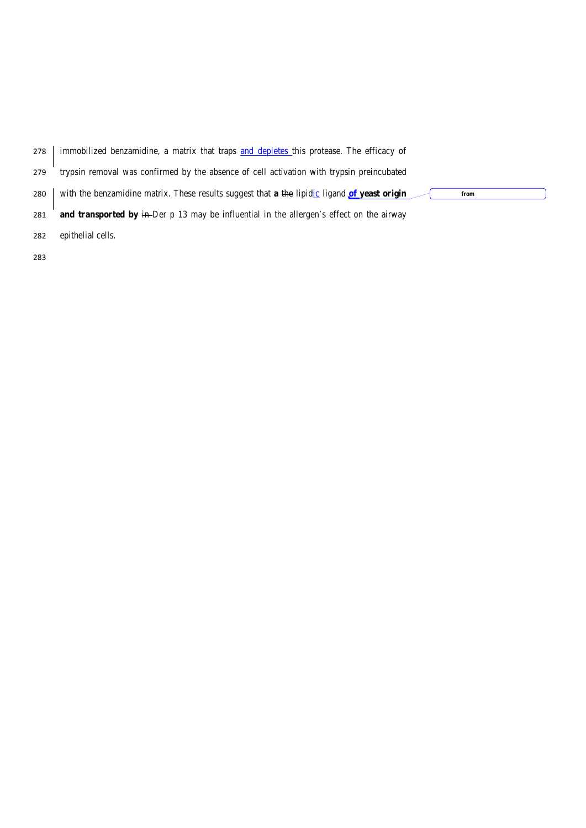| 278 | immobilized benzamidine, a matrix that traps and depletes this protease. The efficacy of               |
|-----|--------------------------------------------------------------------------------------------------------|
| 279 | trypsin removal was confirmed by the absence of cell activation with trypsin preincubated              |
| 280 | with the benzamidine matrix. These results suggest that a the lipidic ligand $of$ yeast origin<br>from |
| 281 | and transported by $\frac{1}{2}$ m-Der p 13 may be influential in the allergen's effect on the airway  |
| 282 | epithelial cells.                                                                                      |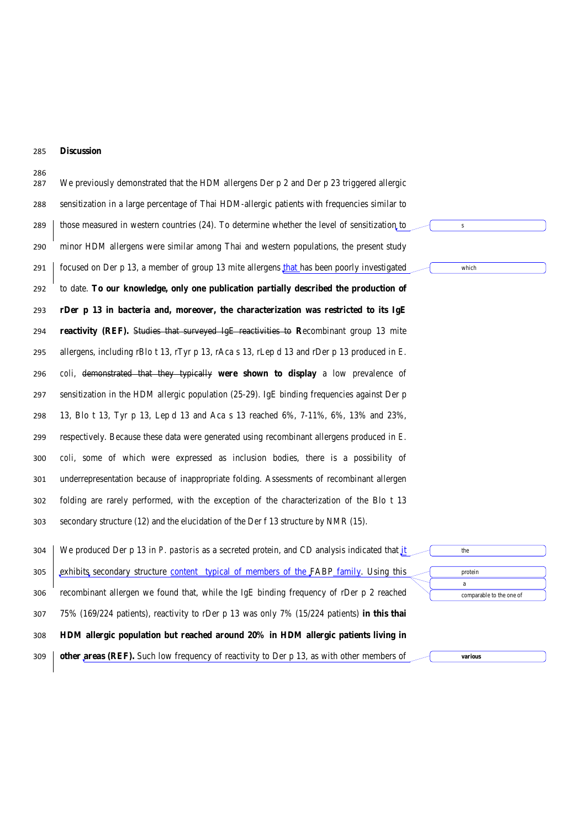# **Discussion**

| 286<br>287 | We previously demonstrated that the HDM allergens Der $p$ 2 and Der $p$ 23 triggered allergic                            |
|------------|--------------------------------------------------------------------------------------------------------------------------|
| 288        | sensitization in a large percentage of Thai HDM-allergic patients with frequencies similar to                            |
| 289        | those measured in western countries (24). To determine whether the level of sensitization to<br>$\bf S$                  |
| 290        | minor HDM allergens were similar among Thai and western populations, the present study                                   |
| 291        | focused on Der p 13, a member of group 13 mite allergens that has been poorly investigated<br>which                      |
| 292        | to date. To our knowledge, only one publication partially described the production of                                    |
| 293        | rDer p 13 in bacteria and, moreover, the characterization was restricted to its IgE                                      |
| 294        | reactivity (REF). Studies that surveyed IgE reactivities to Recombinant group 13 mite                                    |
| 295        | allergens, including rBlo t 13, rTyr p 13, rAca s 13, rLep d 13 and rDer p 13 produced in $E$ .                          |
| 296        | coli, demonstrated that they typically were shown to display a low prevalence of                                         |
| 297        | sensitization in the HDM allergic population $(25-29)$ . IgE binding frequencies against Der p                           |
| 298        | 13, Blo t 13, Tyr p 13, Lep d 13 and Aca s 13 reached 6%, 7-11%, 6%, 13% and 23%,                                        |
| 299        | respectively. Because these data were generated using recombinant allergens produced in E.                               |
| 300        | coli, some of which were expressed as inclusion bodies, there is a possibility of                                        |
| 301        | underrepresentation because of inappropriate folding. Assessments of recombinant allergen                                |
| 302        | folding are rarely performed, with the exception of the characterization of the Blo t 13                                 |
| 303        | secondary structure (12) and the elucidation of the Der f 13 structure by NMR (15).                                      |
| 304        | We produced Der p 13 in P. pastoris as a secreted protein, and CD analysis indicated that it<br>the                      |
| 305        | exhibits secondary structure content typical of members of the FABP family. Using this<br>protein                        |
| 306        | a<br>recombinant allergen we found that, while the IgE binding frequency of rDer p 2 reached<br>comparable to the one of |
| 307        | 75% (169/224 patients), reactivity to rDer p 13 was only 7% (15/224 patients) in this thai                               |
| 308        | HDM allergic population but reached around 20% in HDM allergic patients living in                                        |
| 309        | other areas (REF). Such low frequency of reactivity to Der p 13, as with other members of<br>various                     |
|            |                                                                                                                          |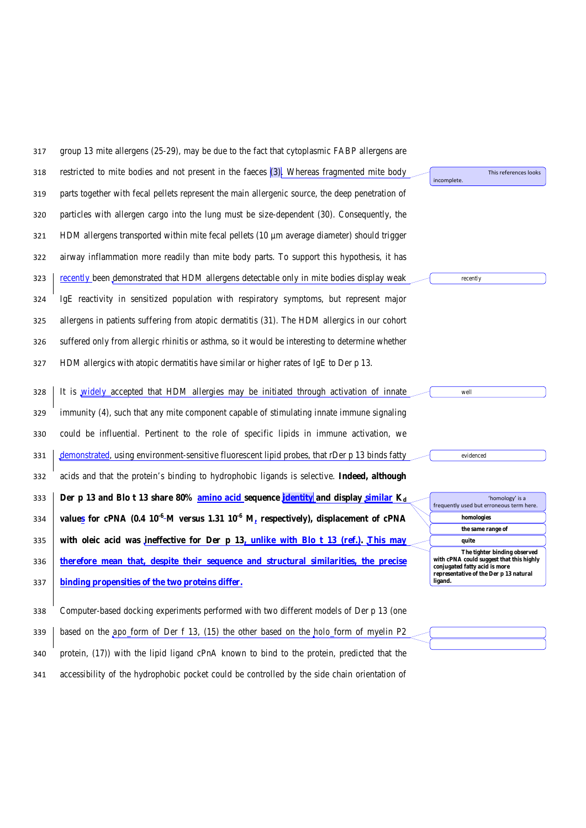| 317 | group 13 mite allergens $(25-29)$ , may be due to the fact that cytoplasmic FABP allergens are      |                                                                                                           |
|-----|-----------------------------------------------------------------------------------------------------|-----------------------------------------------------------------------------------------------------------|
| 318 | restricted to mite bodies and not present in the faeces (3). Whereas fragmented mite body           | This references looks<br>incomplete.                                                                      |
| 319 | parts together with fecal pellets represent the main allergenic source, the deep penetration of     |                                                                                                           |
| 320 | particles with allergen cargo into the lung must be size-dependent (30). Consequently, the          |                                                                                                           |
| 321 | HDM allergens transported within mite fecal pellets $(10 \mu m)$ average diameter) should trigger   |                                                                                                           |
| 322 | airway inflammation more readily than mite body parts. To support this hypothesis, it has           |                                                                                                           |
| 323 | recently been demonstrated that HDM allergens detectable only in mite bodies display weak           | recently                                                                                                  |
| 324 | IgE reactivity in sensitized population with respiratory symptoms, but represent major              |                                                                                                           |
| 325 | allergens in patients suffering from atopic dermatitis (31). The HDM allergics in our cohort        |                                                                                                           |
| 326 | suffered only from allergic rhinitis or asthma, so it would be interesting to determine whether     |                                                                                                           |
| 327 | HDM allergics with atopic dermatitis have similar or higher rates of IgE to Der p 13.               |                                                                                                           |
|     | It is <i>widely</i> accepted that HDM allergies may be initiated through activation of innate       | well                                                                                                      |
| 328 |                                                                                                     |                                                                                                           |
| 329 | immunity (4), such that any mite component capable of stimulating innate immune signaling           |                                                                                                           |
| 330 | could be influential. Pertinent to the role of specific lipids in immune activation, we             |                                                                                                           |
| 331 | demonstrated, using environment-sensitive fluorescent lipid probes, that rDer p 13 binds fatty      | evidenced                                                                                                 |
| 332 | acids and that the protein's binding to hydrophobic ligands is selective. Indeed, although          |                                                                                                           |
| 333 | Der p 13 and Blo t 13 share $80\%$ amino acid sequence <i>dentity</i> and display similar $K_d$     | 'homology' is a<br>frequently used but erroneous term here.                                               |
| 334 | values for cPNA (0.4 $10^{-6}$ -M versus 1.31 $10^{-6}$ M, respectively), displacement of cPNA      | homologies                                                                                                |
|     |                                                                                                     | the same range of                                                                                         |
| 335 | with oleic acid was ineffective for Der $p\ 13$ , unlike with Blo t 13 (ref.). This may             | quite                                                                                                     |
| 336 | therefore mean that, despite their sequence and structural similarities, the precise                | The tighter binding observed<br>with cPNA could suggest that this highly<br>conjugated fatty acid is more |
| 337 | binding propensities of the two proteins differ.                                                    | representative of the Der p 13 natural<br>ligand.                                                         |
|     |                                                                                                     |                                                                                                           |
| 338 | Computer-based docking experiments performed with two different models of Der p 13 (one             |                                                                                                           |
| 339 | based on the <i>apo</i> form of Der f 13, (15) the other based on the <i>holo</i> form of myelin P2 |                                                                                                           |
| 340 | protein, (17)) with the lipid ligand cPnA known to bind to the protein, predicted that the          |                                                                                                           |

accessibility of the hydrophobic pocket could be controlled by the side chain orientation of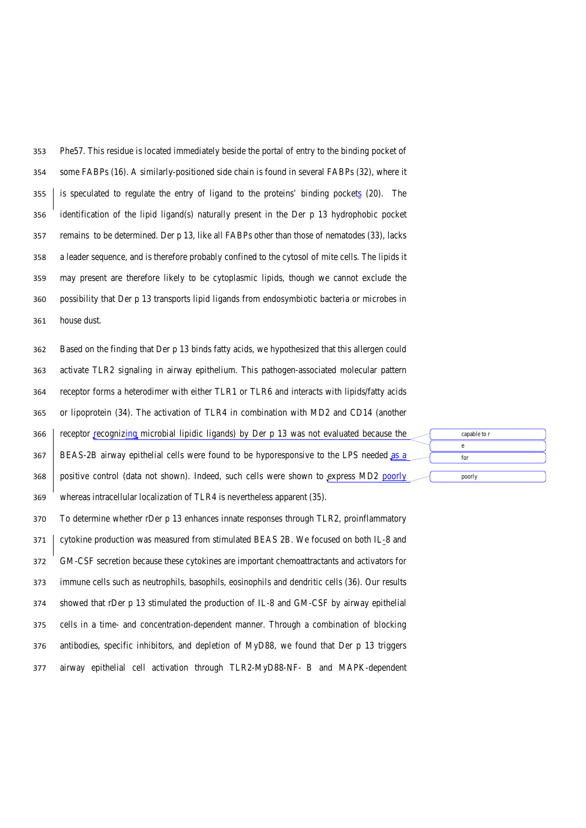Phe57. This residue is located immediately beside the portal of entry to the binding pocket of some FABPs (16). A similarly-positioned side chain is found in several FABPs (32), where it is speculated to regulate the entry of ligand to the proteins' binding pockets (20). The identification of the lipid ligand(s) naturally present in the Der p 13 hydrophobic pocket remains to be determined. Der p 13, like all FABPs other than those of nematodes (33), lacks a leader sequence, and is therefore probably confined to the cytosol of mite cells. The lipids it may present are therefore likely to be cytoplasmic lipids, though we cannot exclude the possibility that Der p 13 transports lipid ligands from endosymbiotic bacteria or microbes in house dust.

 Based on the finding that Der p 13 binds fatty acids, we hypothesized that this allergen could activate TLR2 signaling in airway epithelium. This pathogen-associated molecular pattern receptor forms a heterodimer with either TLR1 or TLR6 and interacts with lipids/fatty acids or lipoprotein (34). The activation of TLR4 in combination with MD2 and CD14 (another 366 receptor recognizing microbial lipidic ligands) by Der p 13 was not evaluated because the BEAS-2B airway epithelial cells were found to be hyporesponsive to the LPS needed as a positive control (data not shown). Indeed, such cells were shown to express MD2 poorly whereas intracellular localization of TLR4 is nevertheless apparent (35).

capable to r e for

poorly

 To determine whether rDer p 13 enhances innate responses through TLR2, proinflammatory cytokine production was measured from stimulated BEAS 2B. We focused on both IL-8 and GM-CSF secretion because these cytokines are important chemoattractants and activators for immune cells such as neutrophils, basophils, eosinophils and dendritic cells (36). Our results showed that rDer p 13 stimulated the production of IL-8 and GM-CSF by airway epithelial cells in a time- and concentration-dependent manner. Through a combination of blocking antibodies, specific inhibitors, and depletion of MyD88, we found that Der p 13 triggers airway epithelial cell activation through TLR2-MyD88-NF- B and MAPK-dependent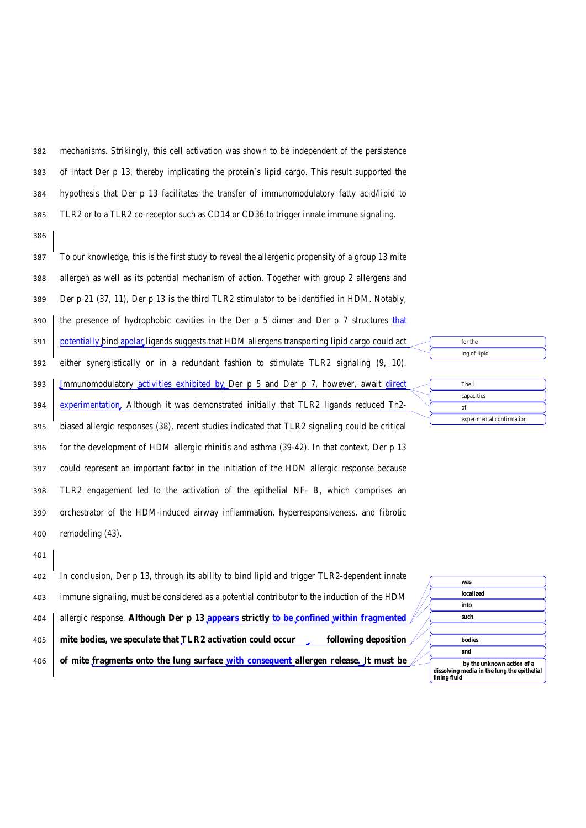mechanisms. Strikingly, this cell activation was shown to be independent of the persistence of intact Der p 13, thereby implicating the protein's lipid cargo. This result supported the hypothesis that Der p 13 facilitates the transfer of immunomodulatory fatty acid/lipid to TLR2 or to a TLR2 co-receptor such as CD14 or CD36 to trigger innate immune signaling.

386

 To our knowledge, this is the first study to reveal the allergenic propensity of a group 13 mite allergen as well as its potential mechanism of action. Together with group 2 allergens and Der p 21 (37, 11), Der p 13 is the third TLR2 stimulator to be identified in HDM. Notably, 390 the presence of hydrophobic cavities in the Der p 5 dimer and Der p 7 structures that potentially bind apolar ligands suggests that HDM allergens transporting lipid cargo could act either synergistically or in a redundant fashion to stimulate TLR2 signaling (9, 10). 393 | Jmmunomodulatory activities exhibited by Der p 5 and Der p 7, however, await direct experimentation. Although it was demonstrated initially that TLR2 ligands reduced Th2- biased allergic responses (38), recent studies indicated that TLR2 signaling could be critical for the development of HDM allergic rhinitis and asthma (39-42). In that context, Der p 13 could represent an important factor in the initiation of the HDM allergic response because TLR2 engagement led to the activation of the epithelial NF- B, which comprises an orchestrator of the HDM-induced airway inflammation, hyperresponsiveness, and fibrotic remodeling (43). 401

| 402 | In conclusion, Der p 13, through its ability to bind lipid and trigger TLR2-dependent innate         |                                                              |
|-----|------------------------------------------------------------------------------------------------------|--------------------------------------------------------------|
|     |                                                                                                      | was                                                          |
| 403 | immune signaling, must be considered as a potential contributor to the induction of the HDM          | localized                                                    |
|     |                                                                                                      | into                                                         |
| 404 | allergic response. Although Der p 13 appears strictly to be confined within fragmented $\not\!\!\!/$ | such                                                         |
|     |                                                                                                      |                                                              |
| 405 | mite bodies, we speculate that TLR2 activation could occur<br>following deposition                   | bodies                                                       |
|     |                                                                                                      | and                                                          |
| 406 | of mite fragments onto the lung surface with consequent allergen release. It must be $\sqrt{ }$      | by the unknown action of a                                   |
|     |                                                                                                      | dissolving media in the lung the epithelial<br>lining fluid. |
|     |                                                                                                      |                                                              |

| The i      |
|------------|
| capacities |
| ∩f         |

for the ing of lipid

experimental confirmation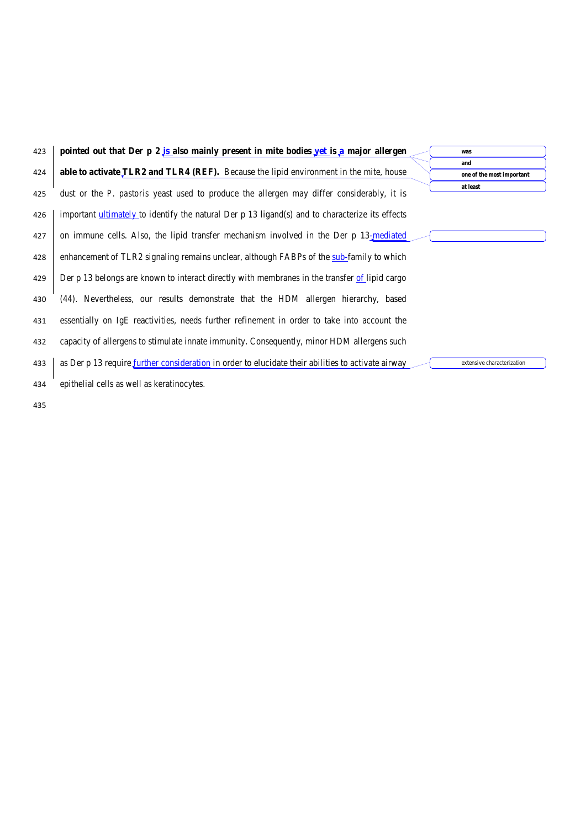| 423 | pointed out that Der $p \ 2$ is also mainly present in mite bodies yet is a major allergen         | was                              |
|-----|----------------------------------------------------------------------------------------------------|----------------------------------|
| 424 | able to activate TLR2 and TLR4 (REF). Because the lipid environment in the mite, house             | and<br>one of the most important |
| 425 | dust or the P. pastoris yeast used to produce the allergen may differ considerably, it is          | at least                         |
| 426 | important ultimately to identify the natural Der p 13 ligand(s) and to characterize its effects    |                                  |
| 427 | on immune cells. Also, the lipid transfer mechanism involved in the Der p 13-mediated              |                                  |
| 428 | enhancement of TLR2 signaling remains unclear, although FABPs of the sub-family to which           |                                  |
| 429 | Der p 13 belongs are known to interact directly with membranes in the transfer of lipid cargo      |                                  |
| 430 | (44). Nevertheless, our results demonstrate that the HDM allergen hierarchy, based                 |                                  |
| 431 | essentially on IgE reactivities, needs further refinement in order to take into account the        |                                  |
| 432 | capacity of allergens to stimulate innate immunity. Consequently, minor HDM allergens such         |                                  |
| 433 | as Der p 13 require further consideration in order to elucidate their abilities to activate airway | extensive characterization       |
| 434 | epithelial cells as well as keratinocytes.                                                         |                                  |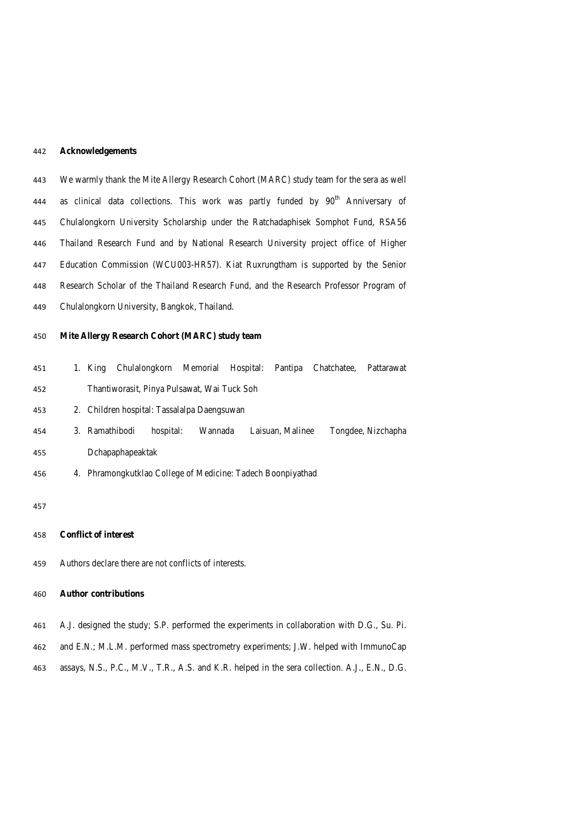#### **Acknowledgements**

 We warmly thank the Mite Allergy Research Cohort (MARC) study team for the sera as well 444 as clinical data collections. This work was partly funded by  $90<sup>th</sup>$  Anniversary of Chulalongkorn University Scholarship under the Ratchadaphisek Somphot Fund, RSA56 Thailand Research Fund and by National Research University project office of Higher Education Commission (WCU003-HR57). Kiat Ruxrungtham is supported by the Senior Research Scholar of the Thailand Research Fund, and the Research Professor Program of Chulalongkorn University, Bangkok, Thailand.

#### **Mite Allergy Research Cohort (MARC) study team**

- 1. King Chulalongkorn Memorial Hospital: Pantipa Chatchatee, Pattarawat Thantiworasit, Pinya Pulsawat, Wai Tuck Soh
- 2. Children hospital: Tassalalpa Daengsuwan
- 3. Ramathibodi hospital: Wannada Laisuan, Malinee Tongdee, Nizchapha Dchapaphapeaktak
- 4. Phramongkutklao College of Medicine: Tadech Boonpiyathad

#### 

- **Conflict of interest**
- Authors declare there are not conflicts of interests.

### **Author contributions**

- A.J. designed the study; S.P. performed the experiments in collaboration with D.G., Su. Pi.
- and E.N.; M.L.M. performed mass spectrometry experiments; J.W. helped with ImmunoCap
- assays, N.S., P.C., M.V., T.R., A.S. and K.R. helped in the sera collection. A.J., E.N., D.G.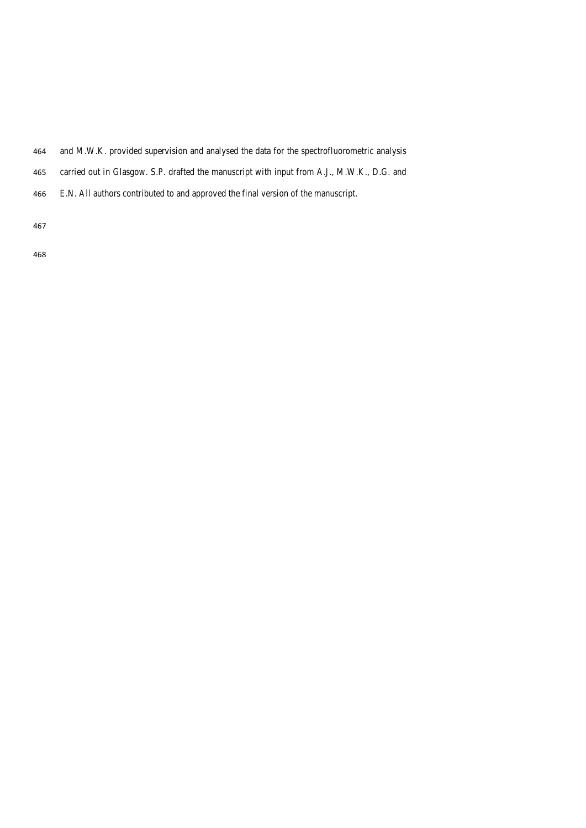- and M.W.K. provided supervision and analysed the data for the spectrofluorometric analysis
- carried out in Glasgow. S.P. drafted the manuscript with input from A.J., M.W.K., D.G. and
- E.N. All authors contributed to and approved the final version of the manuscript.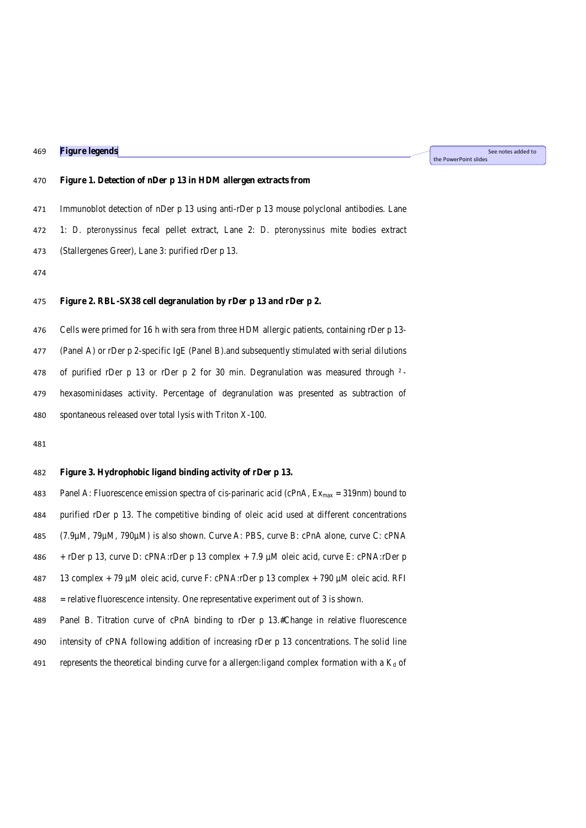**Figure legends**

See notes added to the PowerPoint slides

#### **Figure 1. Detection of nDer p 13 in HDM allergen extracts from**

Immunoblot detection of nDer p 13 using anti-rDer p 13 mouse polyclonal antibodies. Lane

1: *D. pteronyssinus* fecal pellet extract, Lane 2: *D. pteronyssinus* mite bodies extract

- (Stallergenes Greer), Lane 3: purified rDer p 13.
- 

# **Figure 2. RBL-SX38 cell degranulation by rDer p 13 and rDer p 2.**

Cells were primed for 16 h with sera from three HDM allergic patients, containing rDer p 13-

(Panel A) or rDer p 2-specific IgE (Panel B).and subsequently stimulated with serial dilutions

of purified rDer p 13 or rDer p 2 for 30 min. Degranulation was measured through ² -

 hexasominidases activity. Percentage of degranulation was presented as subtraction of spontaneous released over total lysis with Triton X-100.

#### **Figure 3. Hydrophobic ligand binding activity of rDer p 13.**

483 Panel A: Fluorescence emission spectra of cis-parinaric acid (cPnA,  $Ex<sub>max</sub> = 319$ nm) bound to purified rDer p 13. The competitive binding of oleic acid used at different concentrations (7.9µM, 79µM, 790µM) is also shown. Curve A: PBS, curve B: cPnA alone, curve C: cPNA + rDer p 13, curve D: cPNA:rDer p 13 complex + 7.9 µM oleic acid, curve E: cPNA:rDer p 13 complex + 79 µM oleic acid, curve F: cPNA:rDer p 13 complex + 790 µM oleic acid. RFI = relative fluorescence intensity. One representative experiment out of 3 is shown. Panel B. Titration curve of cPnA binding to rDer p 13.#Change in relative fluorescence intensity of cPNA following addition of increasing rDer p 13 concentrations. The solid line

491 represents the theoretical binding curve for a allergen:ligand complex formation with a  $K_d$  of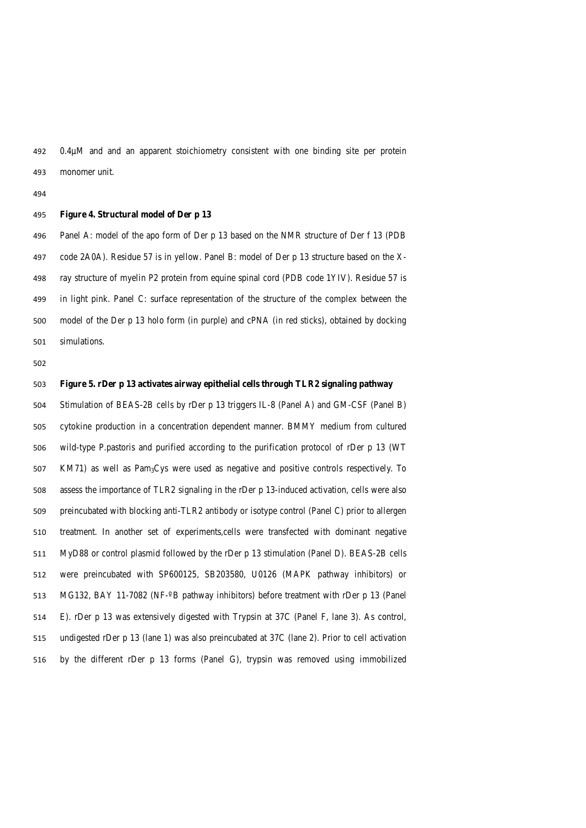0.4µM and and an apparent stoichiometry consistent with one binding site per protein monomer unit.

#### **Figure 4. Structural model of Der p 13**

 Panel A: model of the apo form of Der p 13 based on the NMR structure of Der f 13 (PDB code 2A0A). Residue 57 is in yellow. Panel B: model of Der p 13 structure based on the X- ray structure of myelin P2 protein from equine spinal cord (PDB code 1YIV). Residue 57 is in light pink. Panel C: surface representation of the structure of the complex between the model of the Der p 13 holo form (in purple) and cPNA (in red sticks), obtained by docking simulations.

#### **Figure 5. rDer p 13 activates airway epithelial cells through TLR2 signaling pathway**

 Stimulation of BEAS-2B cells by rDer p 13 triggers IL-8 (Panel A) and GM-CSF (Panel B) cytokine production in a concentration dependent manner. BMMY medium from cultured wild-type P.pastoris and purified according to the purification protocol of rDer p 13 (WT KM71) as well as Pam3Cys were used as negative and positive controls respectively. To assess the importance of TLR2 signaling in the rDer p 13-induced activation, cells were also preincubated with blocking anti-TLR2 antibody or isotype control (Panel C) prior to allergen treatment. In another set of experiments,cells were transfected with dominant negative MyD88 or control plasmid followed by the rDer p 13 stimulation (Panel D). BEAS-2B cells were preincubated with SP600125, SB203580, U0126 (MAPK pathway inhibitors) or MG132, BAY 11-7082 (NF-º B pathway inhibitors) before treatment with rDer p 13 (Panel E). rDer p 13 was extensively digested with Trypsin at 37C (Panel F, lane 3). As control, undigested rDer p 13 (lane 1) was also preincubated at 37C (lane 2). Prior to cell activation by the different rDer p 13 forms (Panel G), trypsin was removed using immobilized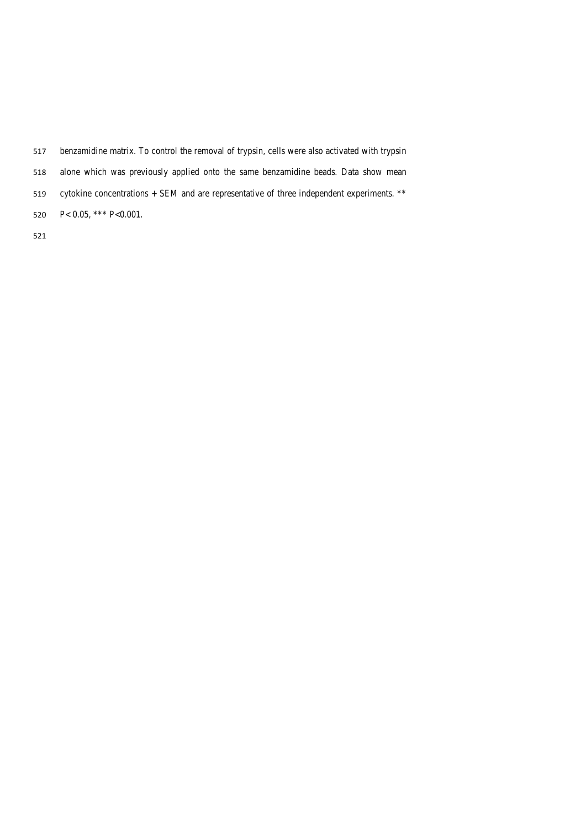- benzamidine matrix. To control the removal of trypsin, cells were also activated with trypsin alone which was previously applied onto the same benzamidine beads. Data show mean
- cytokine concentrations + SEM and are representative of three independent experiments. \*\*
- P< 0.05, \*\*\* P<0.001.
-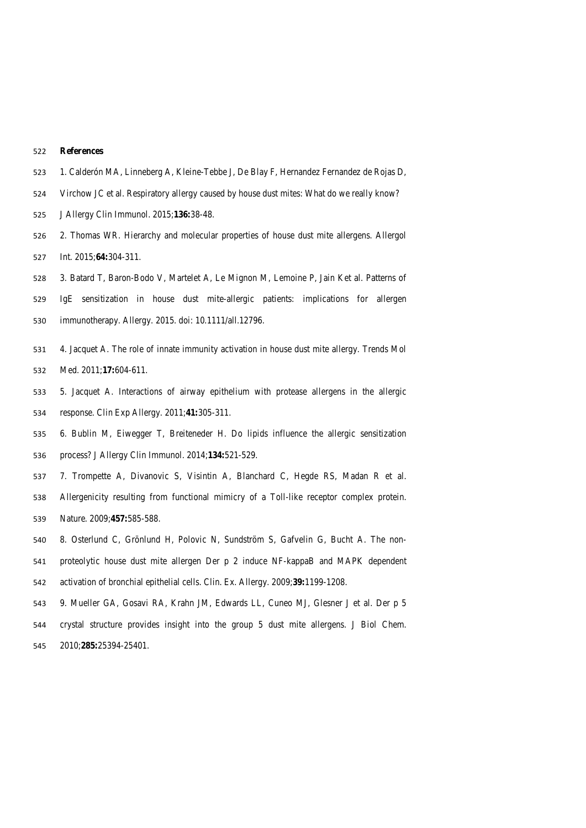#### **References**

- 1. Calderón MA, Linneberg A, Kleine-Tebbe J, De Blay F, Hernandez Fernandez de Rojas D,
- Virchow JC et al. Respiratory allergy caused by house dust mites: What do we really know?
- J Allergy Clin Immunol. 2015;**136:**38-48.
- 2. Thomas WR. Hierarchy and molecular properties of house dust mite allergens. Allergol Int. 2015;**64:**304-311.
- 3. Batard T, Baron-Bodo V, Martelet A, Le Mignon M, Lemoine P, Jain Ket al. Patterns of
- IgE sensitization in house dust mite-allergic patients: implications for allergen immunotherapy. Allergy. 2015. doi: 10.1111/all.12796.
- 4. Jacquet A. The role of innate immunity activation in house dust mite allergy. Trends Mol Med. 2011;**17:**604-611.
- 5. Jacquet A. Interactions of airway epithelium with protease allergens in the allergic response. Clin Exp Allergy. 2011;**41:**305-311.
- 6. Bublin M, Eiwegger T, Breiteneder H. Do lipids influence the allergic sensitization process? J Allergy Clin Immunol. 2014;**134:**521-529.
- 7. Trompette A, Divanovic S, Visintin A, Blanchard C, Hegde RS, Madan R et al.
- Allergenicity resulting from functional mimicry of a Toll-like receptor complex protein. Nature. 2009;**457:**585-588.
- 8. Osterlund C, Grönlund H, Polovic N, Sundström S, Gafvelin G, Bucht A. The non- proteolytic house dust mite allergen Der p 2 induce NF-kappaB and MAPK dependent activation of bronchial epithelial cells. Clin. Ex. Allergy. 2009;**39:**1199-1208.
- 9. Mueller GA, Gosavi RA, Krahn JM, Edwards LL, Cuneo MJ, Glesner J et al. Der p 5 crystal structure provides insight into the group 5 dust mite allergens. J Biol Chem. 2010;**285:**25394-25401.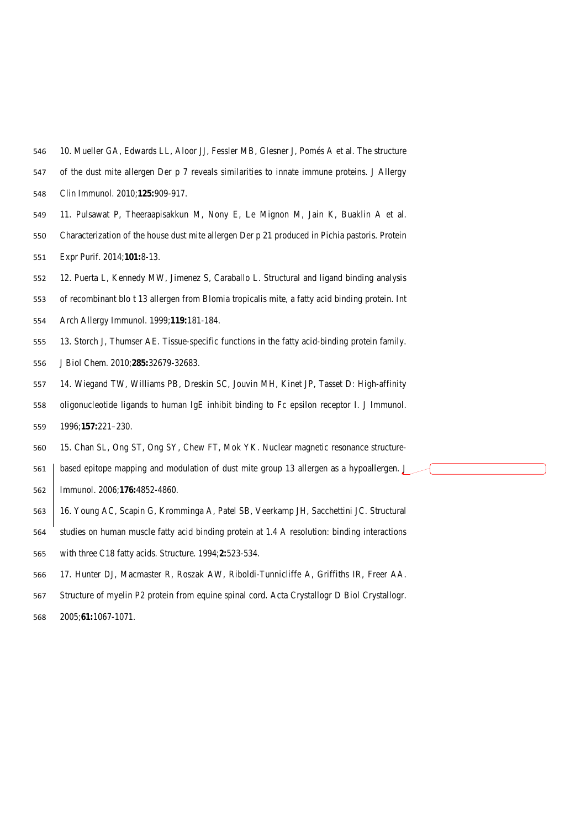- 10. Mueller GA, Edwards LL, Aloor JJ, Fessler MB, Glesner J, Pomés A et al. The structure
- of the dust mite allergen Der p 7 reveals similarities to innate immune proteins. J Allergy
- Clin Immunol. 2010;**125:**909-917.
- 11. Pulsawat P, Theeraapisakkun M, Nony E, Le Mignon M, Jain K, Buaklin A et al.
- Characterization of the house dust mite allergen Der p 21 produced in Pichia pastoris. Protein
- Expr Purif. 2014;**101:**8-13.
- 12. Puerta L, Kennedy MW, Jimenez S, Caraballo L. Structural and ligand binding analysis
- of recombinant blo t 13 allergen from Blomia tropicalis mite, a fatty acid binding protein. Int
- Arch Allergy Immunol. 1999;**119:**181-184.
- 13. Storch J, Thumser AE. Tissue-specific functions in the fatty acid-binding protein family.
- J Biol Chem. 2010;**285:**32679-32683.
- 14. Wiegand TW, Williams PB, Dreskin SC, Jouvin MH, Kinet JP, Tasset D: High-affinity
- oligonucleotide ligands to human IgE inhibit binding to Fc epsilon receptor I. J Immunol. 1996;**157:**221–230.
- 15. Chan SL, Ong ST, Ong SY, Chew FT, Mok YK. Nuclear magnetic resonance structure-
- based epitope mapping and modulation of dust mite group 13 allergen as a hypoallergen. J Immunol. 2006;**176:**4852-4860.
- 16. Young AC, Scapin G, Kromminga A, Patel SB, Veerkamp JH, Sacchettini JC. Structural
- studies on human muscle fatty acid binding protein at 1.4 A resolution: binding interactions
- with three C18 fatty acids. Structure. 1994;**2:**523-534.
- 17. Hunter DJ, Macmaster R, Roszak AW, Riboldi-Tunnicliffe A, Griffiths IR, Freer AA.
- Structure of myelin P2 protein from equine spinal cord. Acta Crystallogr D Biol Crystallogr.
- 2005;**61:**1067-1071.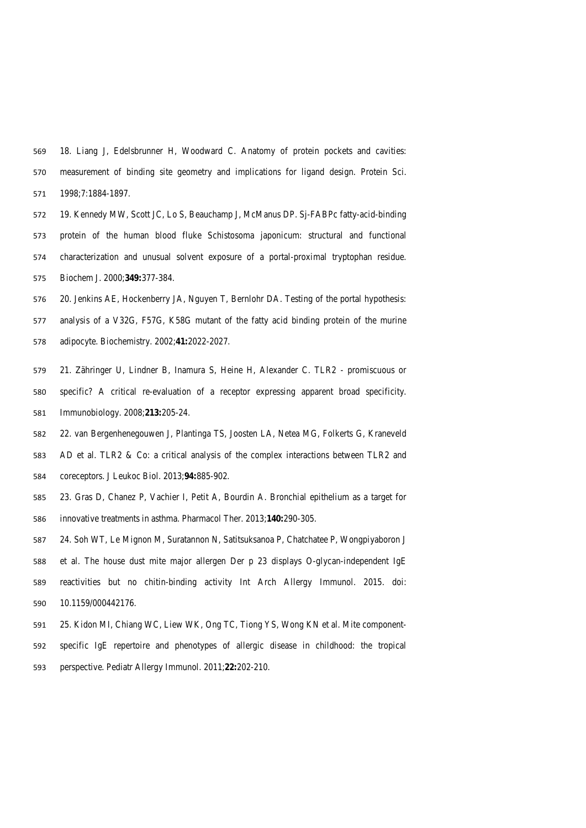18. Liang J, Edelsbrunner H, Woodward C. Anatomy of protein pockets and cavities: measurement of binding site geometry and implications for ligand design. Protein Sci. 1998;7:1884-1897.

- 19. Kennedy MW, Scott JC, Lo S, Beauchamp J, McManus DP. Sj-FABPc fatty-acid-binding protein of the human blood fluke Schistosoma japonicum: structural and functional characterization and unusual solvent exposure of a portal-proximal tryptophan residue. Biochem J. 2000;**349:**377-384.
- 20. Jenkins AE, Hockenberry JA, Nguyen T, Bernlohr DA. Testing of the portal hypothesis: analysis of a V32G, F57G, K58G mutant of the fatty acid binding protein of the murine adipocyte. Biochemistry. 2002;**41:**2022-2027.
- 21. Zähringer U, Lindner B, Inamura S, Heine H, Alexander C. TLR2 promiscuous or specific? A critical re-evaluation of a receptor expressing apparent broad specificity. Immunobiology. 2008;**213:**205-24.
- 22. van Bergenhenegouwen J, Plantinga TS, Joosten LA, Netea MG, Folkerts G, Kraneveld AD et al. TLR2 & Co: a critical analysis of the complex interactions between TLR2 and coreceptors. J Leukoc Biol. 2013;**94:**885-902.
- 23. Gras D, Chanez P, Vachier I, Petit A, Bourdin A. Bronchial epithelium as a target for innovative treatments in asthma. Pharmacol Ther. 2013;**140:**290-305.
- 24. Soh WT, Le Mignon M, Suratannon N, Satitsuksanoa P, Chatchatee P, Wongpiyaboron J et al. The house dust mite major allergen Der p 23 displays O-glycan-independent IgE reactivities but no chitin-binding activity Int Arch Allergy Immunol. 2015. doi: 10.1159/000442176.
- 25. Kidon MI, Chiang WC, Liew WK, Ong TC, Tiong YS, Wong KN et al. Mite component- specific IgE repertoire and phenotypes of allergic disease in childhood: the tropical perspective. Pediatr Allergy Immunol. 2011;**22:**202-210.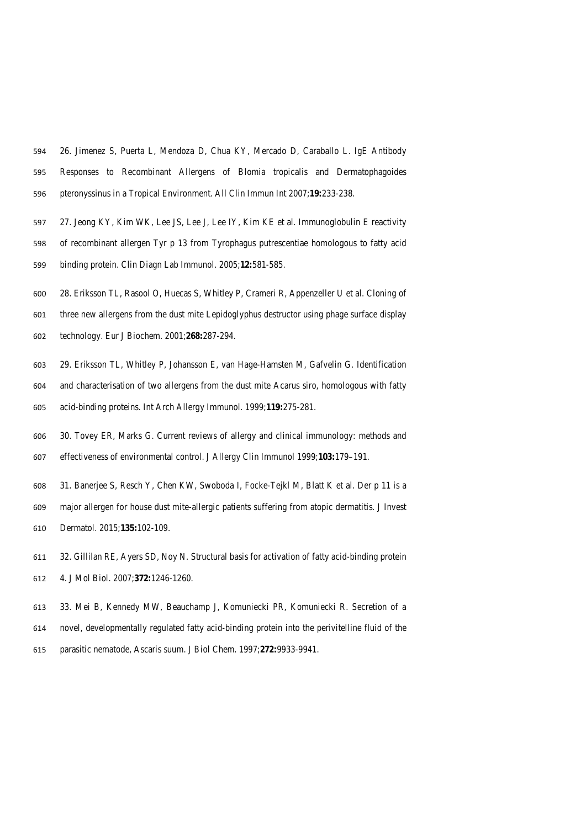- 26. Jimenez S, Puerta L, Mendoza D, Chua KY, Mercado D, Caraballo L. IgE Antibody Responses to Recombinant Allergens of Blomia tropicalis and Dermatophagoides pteronyssinus in a Tropical Environment. All Clin Immun Int 2007;**19:**233-238.
- 597 27. Jeong KY, Kim WK, Lee JS, Lee J, Lee IY, Kim KE et al. Immunoglobulin E reactivity of recombinant allergen Tyr p 13 from Tyrophagus putrescentiae homologous to fatty acid binding protein. Clin Diagn Lab Immunol. 2005;**12:**581-585.
- 28. Eriksson TL, Rasool O, Huecas S, Whitley P, Crameri R, Appenzeller U et al. Cloning of
- three new allergens from the dust mite Lepidoglyphus destructor using phage surface display technology. Eur J Biochem. 2001;**268:**287-294.
- 29. Eriksson TL, Whitley P, Johansson E, van Hage-Hamsten M, Gafvelin G. Identification and characterisation of two allergens from the dust mite Acarus siro, homologous with fatty acid-binding proteins. Int Arch Allergy Immunol. 1999;**119:**275-281.
- 30. Tovey ER, Marks G. Current reviews of allergy and clinical immunology: methods and effectiveness of environmental control. J Allergy Clin Immunol 1999;**103:**179–191.
- 31. Banerjee S, Resch Y, Chen KW, Swoboda I, Focke-Tejkl M, Blatt K et al. Der p 11 is a
- major allergen for house dust mite-allergic patients suffering from atopic dermatitis. J Invest Dermatol. 2015;**135:**102-109.
- 32. Gillilan RE, Ayers SD, Noy N. Structural basis for activation of fatty acid-binding protein 4. J Mol Biol. 2007;**372:**1246-1260.
- 33. Mei B, Kennedy MW, Beauchamp J, Komuniecki PR, Komuniecki R. Secretion of a novel, developmentally regulated fatty acid-binding protein into the perivitelline fluid of the
- parasitic nematode, Ascaris suum. J Biol Chem. 1997;**272:**9933-9941.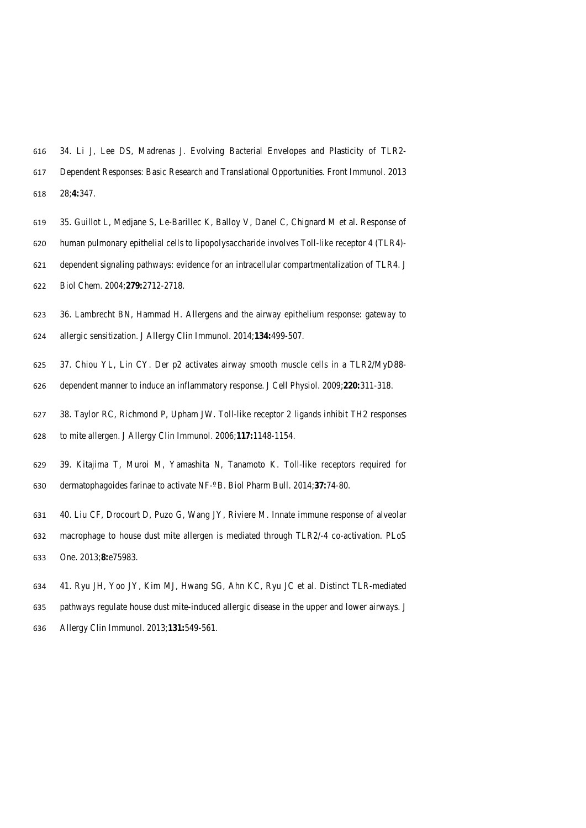- 34. Li J, Lee DS, Madrenas J. Evolving Bacterial Envelopes and Plasticity of TLR2- Dependent Responses: Basic Research and Translational Opportunities. Front Immunol. 2013 28;**4:**347.
- 35. Guillot L, Medjane S, Le-Barillec K, Balloy V, Danel C, Chignard M et al. Response of human pulmonary epithelial cells to lipopolysaccharide involves Toll-like receptor 4 (TLR4)- dependent signaling pathways: evidence for an intracellular compartmentalization of TLR4. J
- Biol Chem. 2004;**279:**2712-2718.
- 36. Lambrecht BN, Hammad H. Allergens and the airway epithelium response: gateway to allergic sensitization. J Allergy Clin Immunol. 2014;**134:**499-507.
- 37. Chiou YL, Lin CY. Der p2 activates airway smooth muscle cells in a TLR2/MyD88- dependent manner to induce an inflammatory response. J Cell Physiol. 2009;**220:**311-318.
- 38. Taylor RC, Richmond P, Upham JW. Toll-like receptor 2 ligands inhibit TH2 responses
- to mite allergen. J Allergy Clin Immunol. 2006;**117:**1148-1154.
- 39. Kitajima T, Muroi M, Yamashita N, Tanamoto K. Toll-like receptors required for dermatophagoides farinae to activate NF-º B. Biol Pharm Bull. 2014;**37:**74-80.
- 40. Liu CF, Drocourt D, Puzo G, Wang JY, Riviere M. Innate immune response of alveolar
- macrophage to house dust mite allergen is mediated through TLR2/-4 co-activation. PLoS One. 2013;**8:**e75983.
- 41. Ryu JH, Yoo JY, Kim MJ, Hwang SG, Ahn KC, Ryu JC et al. Distinct TLR-mediated
- pathways regulate house dust mite-induced allergic disease in the upper and lower airways. J
- Allergy Clin Immunol. 2013;**131:**549-561.